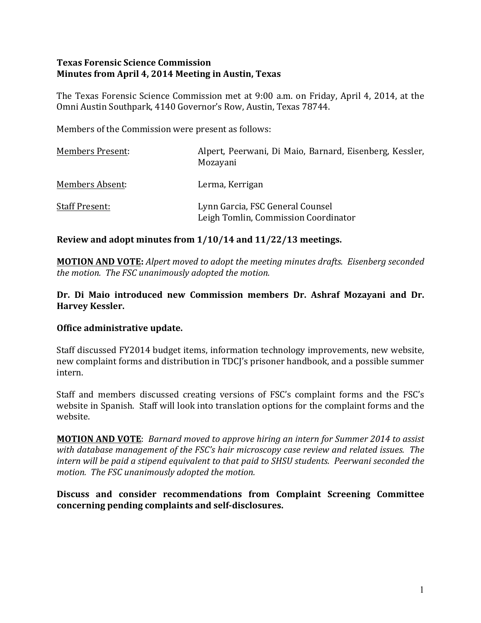### **Texas Forensic Science Commission Minutes from April 4, 2014 Meeting in Austin, Texas**

The Texas Forensic Science Commission met at 9:00 a.m. on Friday, April 4, 2014, at the Omni Austin Southpark, 4140 Governor's Row, Austin, Texas 78744.

Members of the Commission were present as follows:

| <b>Members Present:</b> | Alpert, Peerwani, Di Maio, Barnard, Eisenberg, Kessler,<br>Mozayani      |
|-------------------------|--------------------------------------------------------------------------|
| Members Absent:         | Lerma, Kerrigan                                                          |
| <b>Staff Present:</b>   | Lynn Garcia, FSC General Counsel<br>Leigh Tomlin, Commission Coordinator |

## Review and adopt minutes from  $1/10/14$  and  $11/22/13$  meetings.

**MOTION AND VOTE:** *Alpert moved to adopt the meeting minutes drafts. Eisenberg seconded the motion. The FSC unanimously adopted the motion.* 

### Dr. Di Maio introduced new Commission members Dr. Ashraf Mozayani and Dr. **Harvey Kessler.**

### **Office administrative update.**

Staff discussed FY2014 budget items, information technology improvements, new website, new complaint forms and distribution in TDCI's prisoner handbook, and a possible summer intern.

Staff and members discussed creating versions of FSC's complaint forms and the FSC's website in Spanish. Staff will look into translation options for the complaint forms and the website.

**MOTION AND VOTE:** *Barnard moved to approve hiring an intern for Summer 2014 to assist with database management of the FSC's hair microscopy case review and related issues. The intern* will be paid a stipend equivalent to that paid to SHSU students. Peerwani seconded the *motion. The FSC unanimously adopted the motion.*

**Discuss and consider recommendations from Complaint Screening Committee** concerning pending complaints and self-disclosures.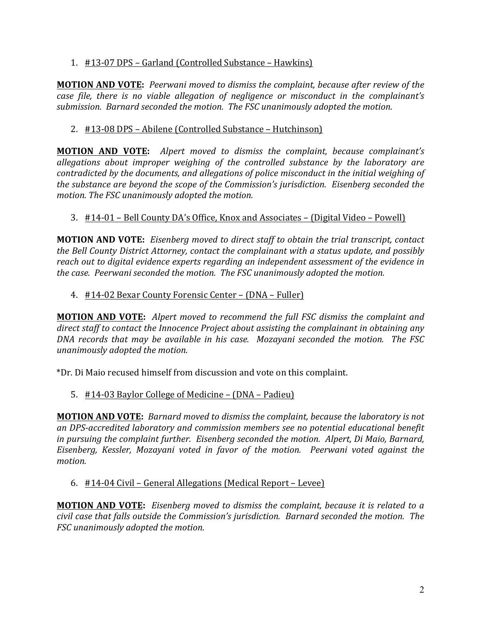# 1. #13-07 DPS – Garland (Controlled Substance – Hawkins)

**MOTION AND VOTE:** Peerwani moved to dismiss the complaint, because after review of the *case file, there is no viable allegation of negligence or misconduct in the complainant's* submission. Barnard seconded the motion. The FSC unanimously adopted the motion.

# 2. #13-08 DPS – Abilene (Controlled Substance – Hutchinson)

**MOTION AND VOTE:** Alpert moved to dismiss the complaint, because complainant's allegations about improper weighing of the controlled substance by the laboratory are *contradicted by the documents, and allegations of police misconduct in the initial weighing of the substance are beyond the scope of the Commission's jurisdiction. Eisenberg seconded the motion. The FSC unanimously adopted the motion.* 

# 3. #14-01 – Bell County DA's Office, Knox and Associates – (Digital Video – Powell)

**MOTION AND VOTE:** Eisenberg moved to direct staff to obtain the trial transcript, contact *the Bell County District Attorney, contact the complainant with a status update, and possibly* reach out to digital evidence experts regarding an independent assessment of the evidence in *the case. Peerwani seconded the motion. The FSC unanimously adopted the motion.* 

## 4. #14-02 Bexar County Forensic Center – (DNA – Fuller)

**MOTION AND VOTE:** Alpert moved to recommend the full FSC dismiss the complaint and *direct staff* to contact the Innocence Project about assisting the complainant in obtaining any *DNA* records that may be available in his case. Mozayani seconded the motion. The FSC *unanimously adopted the motion.* 

\*Dr. Di Maio recused himself from discussion and vote on this complaint.

# 5.  $\#14$ -03 Baylor College of Medicine – (DNA – Padieu)

**MOTION AND VOTE:** *Barnard moved to dismiss the complaint, because the laboratory is not an DPS-accredited laboratory and commission members see no potential educational benefit in* pursuing the complaint further. Eisenberg seconded the motion. Alpert, Di Maio, Barnard, *Eisenberg, Kessler, Mozayani voted in favor of the motion. Peerwani voted against the motion.*

### 6.  $#14-04$  Civil – General Allegations (Medical Report – Levee)

**MOTION AND VOTE:** Eisenberg moved to dismiss the complaint, because it is related to a *civil case that falls outside the Commission's jurisdiction. Barnard seconded the motion. The FSC unanimously adopted the motion.*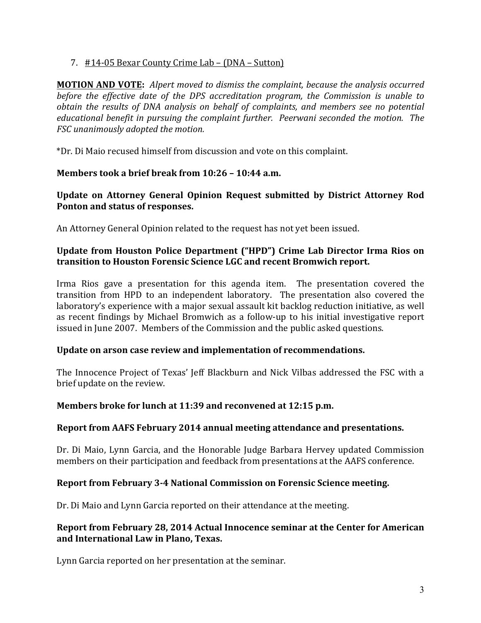### 7. #14-05 Bexar County Crime Lab – (DNA – Sutton)

**MOTION AND VOTE:** Alpert moved to dismiss the complaint, because the analysis occurred *before the effective date of the DPS accreditation program, the Commission is unable to obtain the results of DNA analysis on behalf of complaints, and members see no potential educational benefit in pursuing the complaint further. Peerwani seconded the motion. The FSC* unanimously adopted the motion.

\*Dr. Di Maio recused himself from discussion and vote on this complaint.

# **Members took a brief break from 10:26 - 10:44 a.m.**

Update on Attorney General Opinion Request submitted by District Attorney Rod Ponton and status of responses.

An Attorney General Opinion related to the request has not yet been issued.

## **Update from Houston Police Department ("HPD") Crime Lab Director Irma Rios on** transition to Houston Forensic Science LGC and recent Bromwich report.

Irma Rios gave a presentation for this agenda item. The presentation covered the transition from HPD to an independent laboratory. The presentation also covered the laboratory's experience with a major sexual assault kit backlog reduction initiative, as well as recent findings by Michael Bromwich as a follow-up to his initial investigative report issued in June 2007. Members of the Commission and the public asked questions.

### Update on arson case review and implementation of recommendations.

The Innocence Project of Texas' Jeff Blackburn and Nick Vilbas addressed the FSC with a brief update on the review.

### **Members broke for lunch at 11:39 and reconvened at 12:15 p.m.**

# **Report from AAFS February 2014 annual meeting attendance and presentations.**

Dr. Di Maio, Lynn Garcia, and the Honorable Judge Barbara Hervey updated Commission members on their participation and feedback from presentations at the AAFS conference.

### **Report from February 3-4 National Commission on Forensic Science meeting.**

Dr. Di Maio and Lynn Garcia reported on their attendance at the meeting.

## **Report from February 28, 2014 Actual Innocence seminar at the Center for American** and International Law in Plano, Texas.

Lynn Garcia reported on her presentation at the seminar.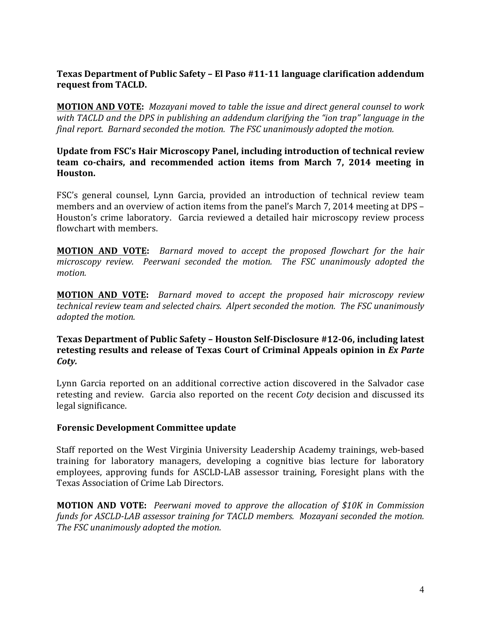# Texas Department of Public Safety - El Paso #11-11 language clarification addendum request from TACLD.

**MOTION AND VOTE:** Mozayani moved to table the issue and direct general counsel to work with TACLD and the DPS in publishing an addendum clarifying the "ion trap" language in the *final report.* Barnard seconded the motion. The FSC unanimously adopted the motion.

### Update from FSC's Hair Microscopy Panel, including introduction of technical review **team co-chairs, and recommended action items from March 7, 2014 meeting in Houston.**

FSC's general counsel, Lynn Garcia, provided an introduction of technical review team members and an overview of action items from the panel's March 7, 2014 meeting at DPS – Houston's crime laboratory. Garcia reviewed a detailed hair microscopy review process flowchart with members.

**MOTION AND VOTE:** Barnard moved to accept the proposed flowchart for the hair *microscopy review.* Peerwani seconded the motion. The FSC unanimously adopted the *motion.*

**MOTION AND VOTE:** Barnard moved to accept the proposed hair microscopy review *technical review team and selected chairs. Alpert seconded the motion. The FSC unanimously adopted the motion.*

## **Texas Department of Public Safety – Houston Self-Disclosure #12-06, including latest** retesting results and release of Texas Court of Criminal Appeals opinion in *Ex Parte Coty.*

Lynn Garcia reported on an additional corrective action discovered in the Salvador case retesting and review. Garcia also reported on the recent *Coty* decision and discussed its legal significance.

### **Forensic Development Committee update**

Staff reported on the West Virginia University Leadership Academy trainings, web-based training for laboratory managers, developing a cognitive bias lecture for laboratory employees, approving funds for ASCLD-LAB assessor training, Foresight plans with the Texas Association of Crime Lab Directors.

**MOTION AND VOTE:** Peerwani moved to approve the allocation of \$10K in Commission *funds for ASCLD-LAB assessor training for TACLD members. Mozayani seconded the motion. The FSC unanimously adopted the motion.*